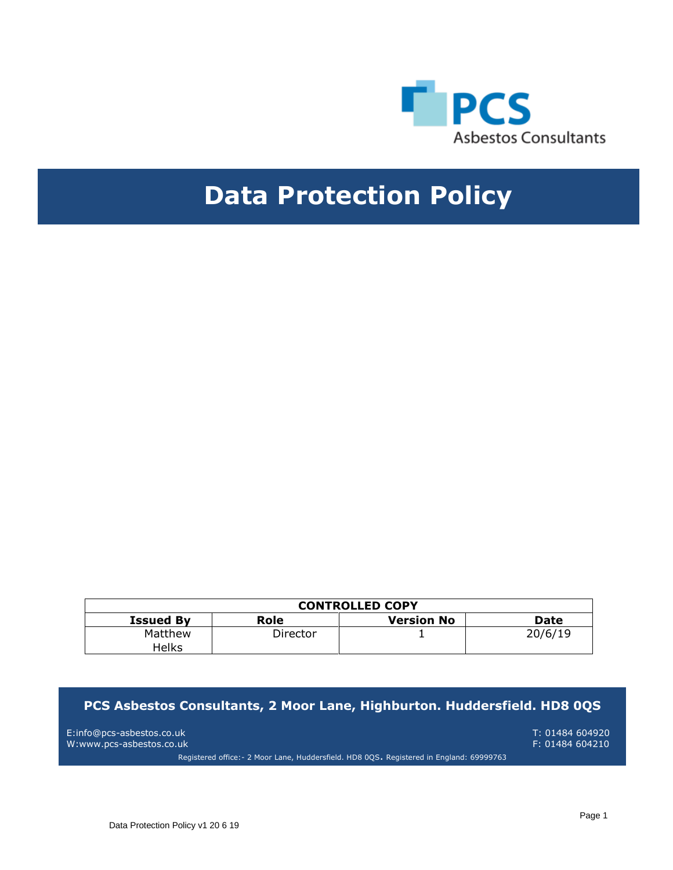

# **Data Protection Policy**

| <b>CONTROLLED COPY</b>  |          |                   |         |
|-------------------------|----------|-------------------|---------|
| <b>Issued By</b>        | Role     | <b>Version No</b> | Date    |
| Matthew<br><b>Helks</b> | Director |                   | 20/6/19 |

## **PCS Asbestos Consultants, 2 Moor Lane, Highburton. Huddersfield. HD8 0QS**

E:info@pcs-asbestos.co.uk T: 01484 604920 W:www.pcs-asbestos.co.uk

Registered office:- 2 Moor Lane, Huddersfield. HD8 0QS. Registered in England: 69999763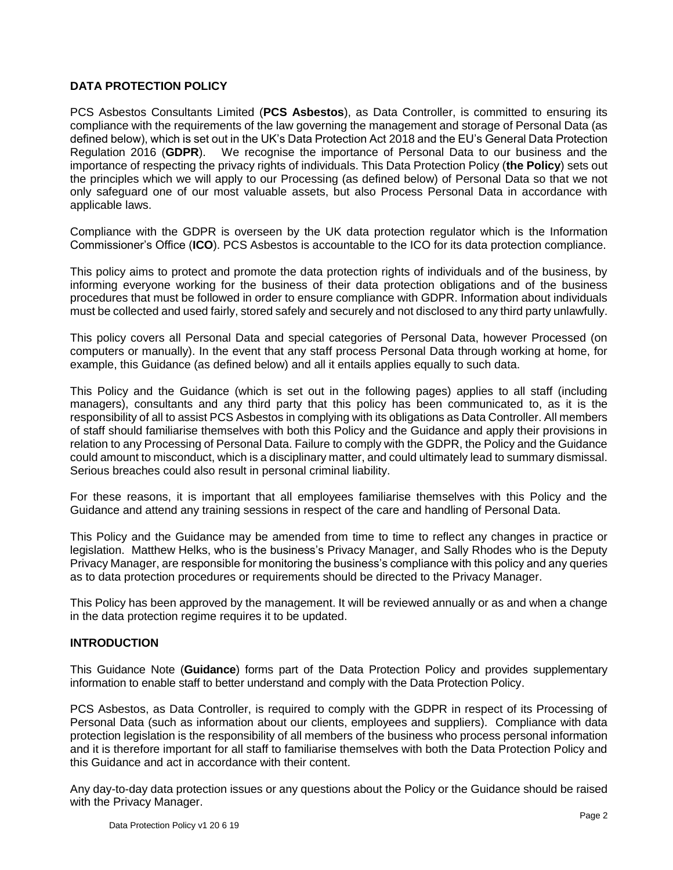## **DATA PROTECTION POLICY**

PCS Asbestos Consultants Limited (**PCS Asbestos**), as Data Controller, is committed to ensuring its compliance with the requirements of the law governing the management and storage of Personal Data (as defined below), which is set out in the UK's Data Protection Act 2018 and the EU's General Data Protection Regulation 2016 (**GDPR**). We recognise the importance of Personal Data to our business and the importance of respecting the privacy rights of individuals. This Data Protection Policy (**the Policy**) sets out the principles which we will apply to our Processing (as defined below) of Personal Data so that we not only safeguard one of our most valuable assets, but also Process Personal Data in accordance with applicable laws.

Compliance with the GDPR is overseen by the UK data protection regulator which is the Information Commissioner's Office (**ICO**). PCS Asbestos is accountable to the ICO for its data protection compliance.

This policy aims to protect and promote the data protection rights of individuals and of the business, by informing everyone working for the business of their data protection obligations and of the business procedures that must be followed in order to ensure compliance with GDPR. Information about individuals must be collected and used fairly, stored safely and securely and not disclosed to any third party unlawfully.

This policy covers all Personal Data and special categories of Personal Data, however Processed (on computers or manually). In the event that any staff process Personal Data through working at home, for example, this Guidance (as defined below) and all it entails applies equally to such data.

This Policy and the Guidance (which is set out in the following pages) applies to all staff (including managers), consultants and any third party that this policy has been communicated to, as it is the responsibility of all to assist PCS Asbestos in complying with its obligations as Data Controller. All members of staff should familiarise themselves with both this Policy and the Guidance and apply their provisions in relation to any Processing of Personal Data. Failure to comply with the GDPR, the Policy and the Guidance could amount to misconduct, which is a disciplinary matter, and could ultimately lead to summary dismissal. Serious breaches could also result in personal criminal liability.

For these reasons, it is important that all employees familiarise themselves with this Policy and the Guidance and attend any training sessions in respect of the care and handling of Personal Data.

This Policy and the Guidance may be amended from time to time to reflect any changes in practice or legislation. Matthew Helks, who is the business's Privacy Manager, and Sally Rhodes who is the Deputy Privacy Manager, are responsible for monitoring the business's compliance with this policy and any queries as to data protection procedures or requirements should be directed to the Privacy Manager.

This Policy has been approved by the management. It will be reviewed annually or as and when a change in the data protection regime requires it to be updated.

## **INTRODUCTION**

This Guidance Note (**Guidance**) forms part of the Data Protection Policy and provides supplementary information to enable staff to better understand and comply with the Data Protection Policy.

PCS Asbestos, as Data Controller, is required to comply with the GDPR in respect of its Processing of Personal Data (such as information about our clients, employees and suppliers). Compliance with data protection legislation is the responsibility of all members of the business who process personal information and it is therefore important for all staff to familiarise themselves with both the Data Protection Policy and this Guidance and act in accordance with their content.

Any day-to-day data protection issues or any questions about the Policy or the Guidance should be raised with the Privacy Manager.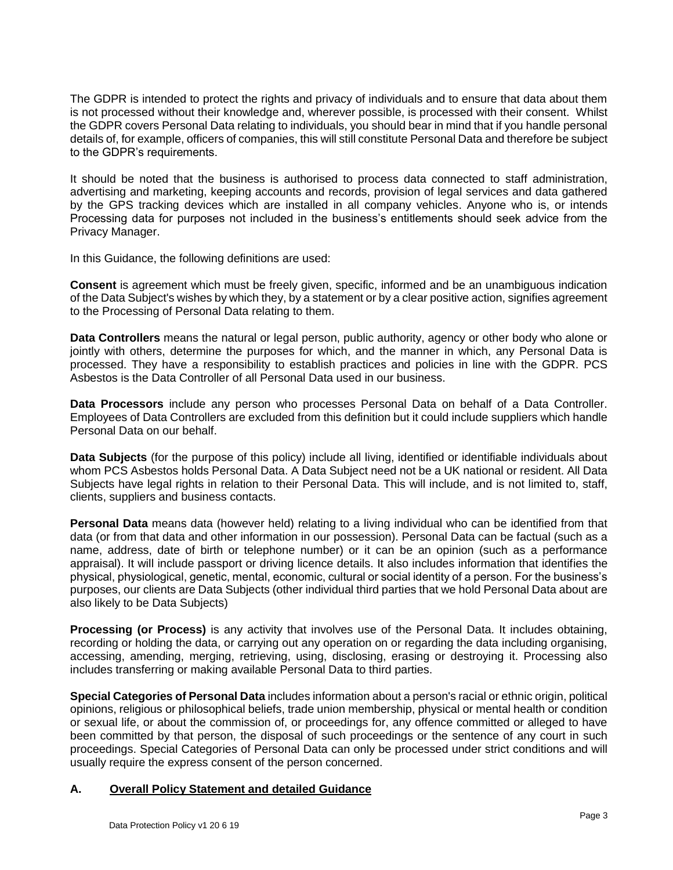The GDPR is intended to protect the rights and privacy of individuals and to ensure that data about them is not processed without their knowledge and, wherever possible, is processed with their consent. Whilst the GDPR covers Personal Data relating to individuals, you should bear in mind that if you handle personal details of, for example, officers of companies, this will still constitute Personal Data and therefore be subject to the GDPR's requirements.

It should be noted that the business is authorised to process data connected to staff administration, advertising and marketing, keeping accounts and records, provision of legal services and data gathered by the GPS tracking devices which are installed in all company vehicles. Anyone who is, or intends Processing data for purposes not included in the business's entitlements should seek advice from the Privacy Manager.

In this Guidance, the following definitions are used:

**Consent** is agreement which must be freely given, specific, informed and be an unambiguous indication of the Data Subject's wishes by which they, by a statement or by a clear positive action, signifies agreement to the Processing of Personal Data relating to them.

**Data Controllers** means the natural or legal person, public authority, agency or other body who alone or jointly with others, determine the purposes for which, and the manner in which, any Personal Data is processed. They have a responsibility to establish practices and policies in line with the GDPR. PCS Asbestos is the Data Controller of all Personal Data used in our business.

**Data Processors** include any person who processes Personal Data on behalf of a Data Controller. Employees of Data Controllers are excluded from this definition but it could include suppliers which handle Personal Data on our behalf.

**Data Subjects** (for the purpose of this policy) include all living, identified or identifiable individuals about whom PCS Asbestos holds Personal Data. A Data Subject need not be a UK national or resident. All Data Subjects have legal rights in relation to their Personal Data. This will include, and is not limited to, staff, clients, suppliers and business contacts.

**Personal Data** means data (however held) relating to a living individual who can be identified from that data (or from that data and other information in our possession). Personal Data can be factual (such as a name, address, date of birth or telephone number) or it can be an opinion (such as a performance appraisal). It will include passport or driving licence details. It also includes information that identifies the physical, physiological, genetic, mental, economic, cultural or social identity of a person. For the business's purposes, our clients are Data Subjects (other individual third parties that we hold Personal Data about are also likely to be Data Subjects)

**Processing (or Process)** is any activity that involves use of the Personal Data. It includes obtaining, recording or holding the data, or carrying out any operation on or regarding the data including organising, accessing, amending, merging, retrieving, using, disclosing, erasing or destroying it. Processing also includes transferring or making available Personal Data to third parties.

**Special Categories of Personal Data** includes information about a person's racial or ethnic origin, political opinions, religious or philosophical beliefs, trade union membership, physical or mental health or condition or sexual life, or about the commission of, or proceedings for, any offence committed or alleged to have been committed by that person, the disposal of such proceedings or the sentence of any court in such proceedings. Special Categories of Personal Data can only be processed under strict conditions and will usually require the express consent of the person concerned.

## **A. Overall Policy Statement and detailed Guidance**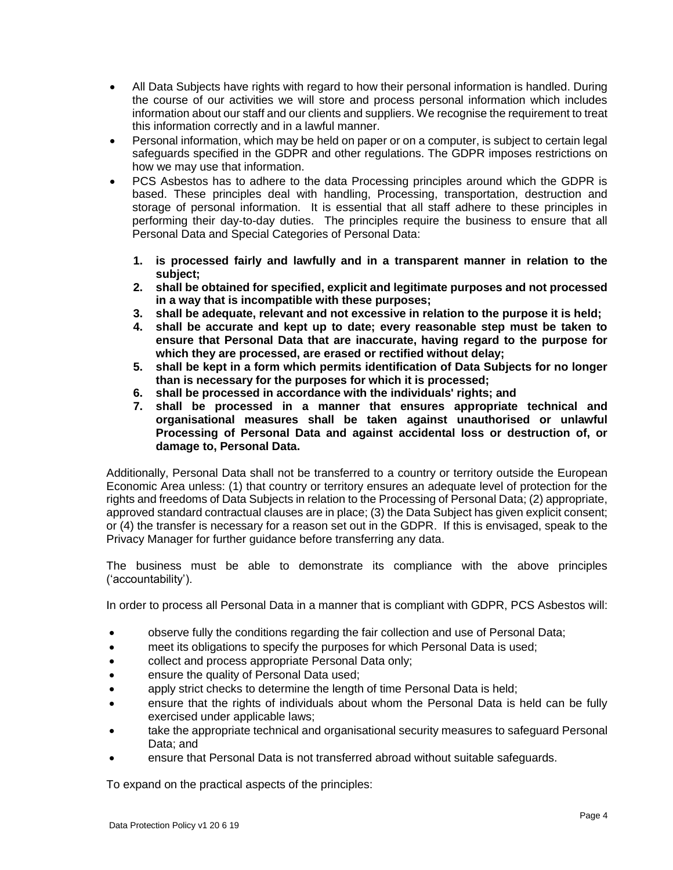- All Data Subjects have rights with regard to how their personal information is handled. During the course of our activities we will store and process personal information which includes information about our staff and our clients and suppliers. We recognise the requirement to treat this information correctly and in a lawful manner.
- Personal information, which may be held on paper or on a computer, is subject to certain legal safeguards specified in the GDPR and other regulations. The GDPR imposes restrictions on how we may use that information.
- PCS Asbestos has to adhere to the data Processing principles around which the GDPR is based. These principles deal with handling, Processing, transportation, destruction and storage of personal information. It is essential that all staff adhere to these principles in performing their day-to-day duties. The principles require the business to ensure that all Personal Data and Special Categories of Personal Data:
	- **1. is processed fairly and lawfully and in a transparent manner in relation to the subject;**
	- **2. shall be obtained for specified, explicit and legitimate purposes and not processed in a way that is incompatible with these purposes;**
	- **3. shall be adequate, relevant and not excessive in relation to the purpose it is held;**
	- **4. shall be accurate and kept up to date; every reasonable step must be taken to ensure that Personal Data that are inaccurate, having regard to the purpose for which they are processed, are erased or rectified without delay;**
	- **5. shall be kept in a form which permits identification of Data Subjects for no longer than is necessary for the purposes for which it is processed;**
	- **6. shall be processed in accordance with the individuals' rights; and**
	- **7. shall be processed in a manner that ensures appropriate technical and organisational measures shall be taken against unauthorised or unlawful Processing of Personal Data and against accidental loss or destruction of, or damage to, Personal Data.**

Additionally, Personal Data shall not be transferred to a country or territory outside the European Economic Area unless: (1) that country or territory ensures an adequate level of protection for the rights and freedoms of Data Subjects in relation to the Processing of Personal Data; (2) appropriate, approved standard contractual clauses are in place; (3) the Data Subject has given explicit consent; or (4) the transfer is necessary for a reason set out in the GDPR. If this is envisaged, speak to the Privacy Manager for further guidance before transferring any data.

The business must be able to demonstrate its compliance with the above principles ('accountability').

In order to process all Personal Data in a manner that is compliant with GDPR, PCS Asbestos will:

- observe fully the conditions regarding the fair collection and use of Personal Data;
- meet its obligations to specify the purposes for which Personal Data is used;
- collect and process appropriate Personal Data only;
- ensure the quality of Personal Data used;
- apply strict checks to determine the length of time Personal Data is held;
- ensure that the rights of individuals about whom the Personal Data is held can be fully exercised under applicable laws;
- take the appropriate technical and organisational security measures to safeguard Personal Data; and
- ensure that Personal Data is not transferred abroad without suitable safeguards.

To expand on the practical aspects of the principles: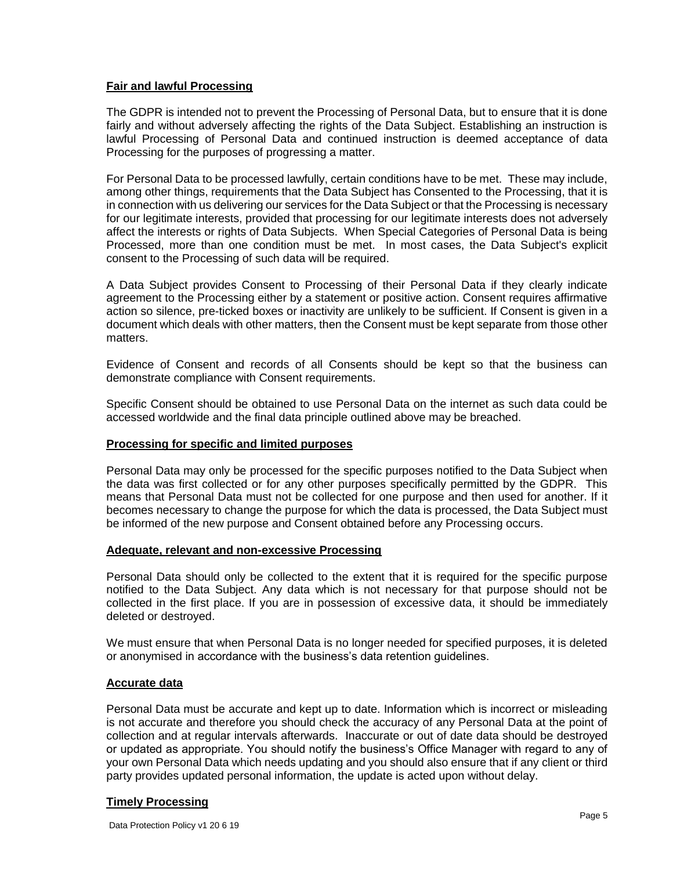#### **Fair and lawful Processing**

The GDPR is intended not to prevent the Processing of Personal Data, but to ensure that it is done fairly and without adversely affecting the rights of the Data Subject. Establishing an instruction is lawful Processing of Personal Data and continued instruction is deemed acceptance of data Processing for the purposes of progressing a matter.

For Personal Data to be processed lawfully, certain conditions have to be met. These may include, among other things, requirements that the Data Subject has Consented to the Processing, that it is in connection with us delivering our services for the Data Subject or that the Processing is necessary for our legitimate interests, provided that processing for our legitimate interests does not adversely affect the interests or rights of Data Subjects. When Special Categories of Personal Data is being Processed, more than one condition must be met. In most cases, the Data Subject's explicit consent to the Processing of such data will be required.

A Data Subject provides Consent to Processing of their Personal Data if they clearly indicate agreement to the Processing either by a statement or positive action. Consent requires affirmative action so silence, pre-ticked boxes or inactivity are unlikely to be sufficient. If Consent is given in a document which deals with other matters, then the Consent must be kept separate from those other matters.

Evidence of Consent and records of all Consents should be kept so that the business can demonstrate compliance with Consent requirements.

Specific Consent should be obtained to use Personal Data on the internet as such data could be accessed worldwide and the final data principle outlined above may be breached.

## **Processing for specific and limited purposes**

Personal Data may only be processed for the specific purposes notified to the Data Subject when the data was first collected or for any other purposes specifically permitted by the GDPR. This means that Personal Data must not be collected for one purpose and then used for another. If it becomes necessary to change the purpose for which the data is processed, the Data Subject must be informed of the new purpose and Consent obtained before any Processing occurs.

#### **Adequate, relevant and non-excessive Processing**

Personal Data should only be collected to the extent that it is required for the specific purpose notified to the Data Subject. Any data which is not necessary for that purpose should not be collected in the first place. If you are in possession of excessive data, it should be immediately deleted or destroyed.

We must ensure that when Personal Data is no longer needed for specified purposes, it is deleted or anonymised in accordance with the business's data retention guidelines.

## **Accurate data**

Personal Data must be accurate and kept up to date. Information which is incorrect or misleading is not accurate and therefore you should check the accuracy of any Personal Data at the point of collection and at regular intervals afterwards. Inaccurate or out of date data should be destroyed or updated as appropriate. You should notify the business's Office Manager with regard to any of your own Personal Data which needs updating and you should also ensure that if any client or third party provides updated personal information, the update is acted upon without delay.

## **Timely Processing**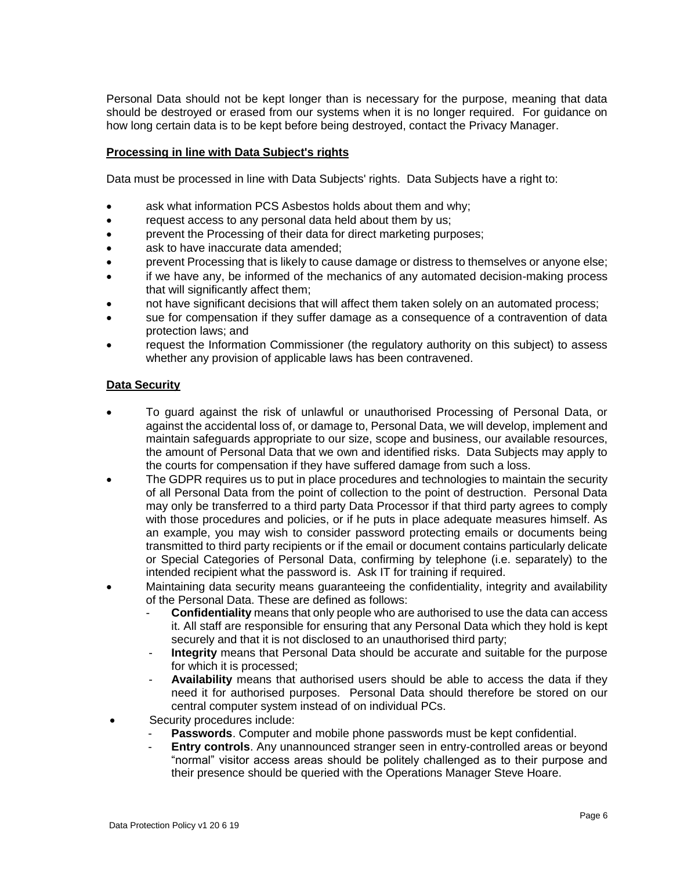Personal Data should not be kept longer than is necessary for the purpose, meaning that data should be destroyed or erased from our systems when it is no longer required. For guidance on how long certain data is to be kept before being destroyed, contact the Privacy Manager.

#### **Processing in line with Data Subject's rights**

Data must be processed in line with Data Subjects' rights. Data Subjects have a right to:

- ask what information PCS Asbestos holds about them and why;
- request access to any personal data held about them by us;
- prevent the Processing of their data for direct marketing purposes;
- ask to have inaccurate data amended;
- prevent Processing that is likely to cause damage or distress to themselves or anyone else;
- if we have any, be informed of the mechanics of any automated decision-making process that will significantly affect them;
- not have significant decisions that will affect them taken solely on an automated process;
- sue for compensation if they suffer damage as a consequence of a contravention of data protection laws; and
- request the Information Commissioner (the regulatory authority on this subject) to assess whether any provision of applicable laws has been contravened.

#### **Data Security**

- To guard against the risk of unlawful or unauthorised Processing of Personal Data, or against the accidental loss of, or damage to, Personal Data, we will develop, implement and maintain safeguards appropriate to our size, scope and business, our available resources, the amount of Personal Data that we own and identified risks. Data Subjects may apply to the courts for compensation if they have suffered damage from such a loss.
- The GDPR requires us to put in place procedures and technologies to maintain the security of all Personal Data from the point of collection to the point of destruction. Personal Data may only be transferred to a third party Data Processor if that third party agrees to comply with those procedures and policies, or if he puts in place adequate measures himself. As an example, you may wish to consider password protecting emails or documents being transmitted to third party recipients or if the email or document contains particularly delicate or Special Categories of Personal Data, confirming by telephone (i.e. separately) to the intended recipient what the password is. Ask IT for training if required.
- Maintaining data security means guaranteeing the confidentiality, integrity and availability of the Personal Data. These are defined as follows:
	- **Confidentiality** means that only people who are authorised to use the data can access it. All staff are responsible for ensuring that any Personal Data which they hold is kept securely and that it is not disclosed to an unauthorised third party;
	- **Integrity** means that Personal Data should be accurate and suitable for the purpose for which it is processed;
	- **Availability** means that authorised users should be able to access the data if they need it for authorised purposes. Personal Data should therefore be stored on our central computer system instead of on individual PCs.
	- Security procedures include:
		- **Passwords.** Computer and mobile phone passwords must be kept confidential.
		- **Entry controls**. Any unannounced stranger seen in entry-controlled areas or beyond "normal" visitor access areas should be politely challenged as to their purpose and their presence should be queried with the Operations Manager Steve Hoare.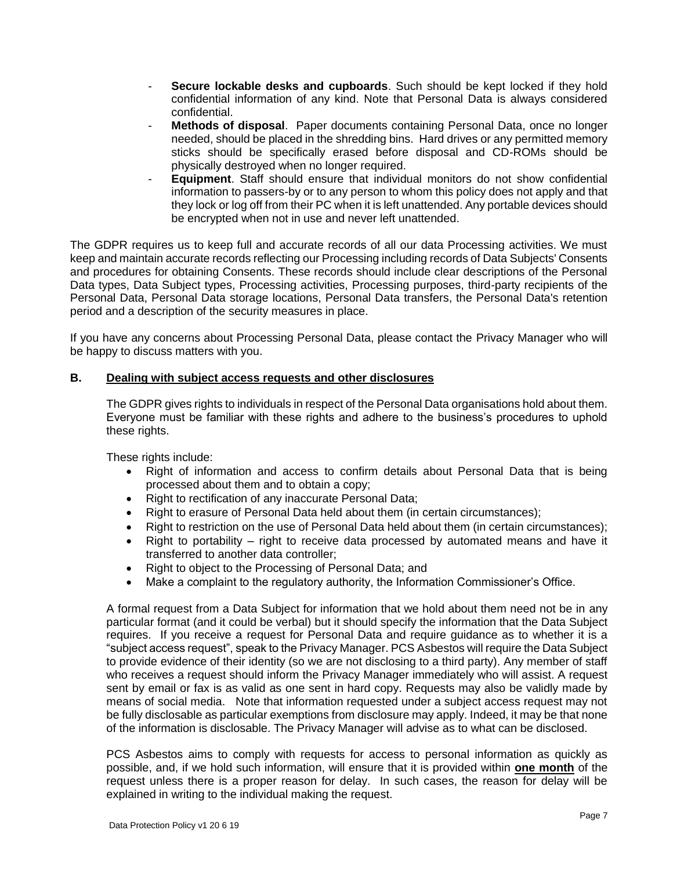- **Secure lockable desks and cupboards**. Such should be kept locked if they hold confidential information of any kind. Note that Personal Data is always considered confidential.
- **Methods of disposal**. Paper documents containing Personal Data, once no longer needed, should be placed in the shredding bins. Hard drives or any permitted memory sticks should be specifically erased before disposal and CD-ROMs should be physically destroyed when no longer required.
- **Equipment**. Staff should ensure that individual monitors do not show confidential information to passers-by or to any person to whom this policy does not apply and that they lock or log off from their PC when it is left unattended. Any portable devices should be encrypted when not in use and never left unattended.

The GDPR requires us to keep full and accurate records of all our data Processing activities. We must keep and maintain accurate records reflecting our Processing including records of Data Subjects' Consents and procedures for obtaining Consents. These records should include clear descriptions of the Personal Data types, Data Subject types, Processing activities, Processing purposes, third-party recipients of the Personal Data, Personal Data storage locations, Personal Data transfers, the Personal Data's retention period and a description of the security measures in place.

If you have any concerns about Processing Personal Data, please contact the Privacy Manager who will be happy to discuss matters with you.

## **B. Dealing with subject access requests and other disclosures**

The GDPR gives rights to individuals in respect of the Personal Data organisations hold about them. Everyone must be familiar with these rights and adhere to the business's procedures to uphold these rights.

These rights include:

- Right of information and access to confirm details about Personal Data that is being processed about them and to obtain a copy;
- Right to rectification of any inaccurate Personal Data;
- Right to erasure of Personal Data held about them (in certain circumstances);
- Right to restriction on the use of Personal Data held about them (in certain circumstances);
- Right to portability right to receive data processed by automated means and have it transferred to another data controller;
- Right to object to the Processing of Personal Data; and
- Make a complaint to the regulatory authority, the Information Commissioner's Office.

A formal request from a Data Subject for information that we hold about them need not be in any particular format (and it could be verbal) but it should specify the information that the Data Subject requires. If you receive a request for Personal Data and require guidance as to whether it is a "subject access request", speak to the Privacy Manager. PCS Asbestos will require the Data Subject to provide evidence of their identity (so we are not disclosing to a third party). Any member of staff who receives a request should inform the Privacy Manager immediately who will assist. A request sent by email or fax is as valid as one sent in hard copy. Requests may also be validly made by means of social media. Note that information requested under a subject access request may not be fully disclosable as particular exemptions from disclosure may apply. Indeed, it may be that none of the information is disclosable. The Privacy Manager will advise as to what can be disclosed.

PCS Asbestos aims to comply with requests for access to personal information as quickly as possible, and, if we hold such information, will ensure that it is provided within **one month** of the request unless there is a proper reason for delay. In such cases, the reason for delay will be explained in writing to the individual making the request.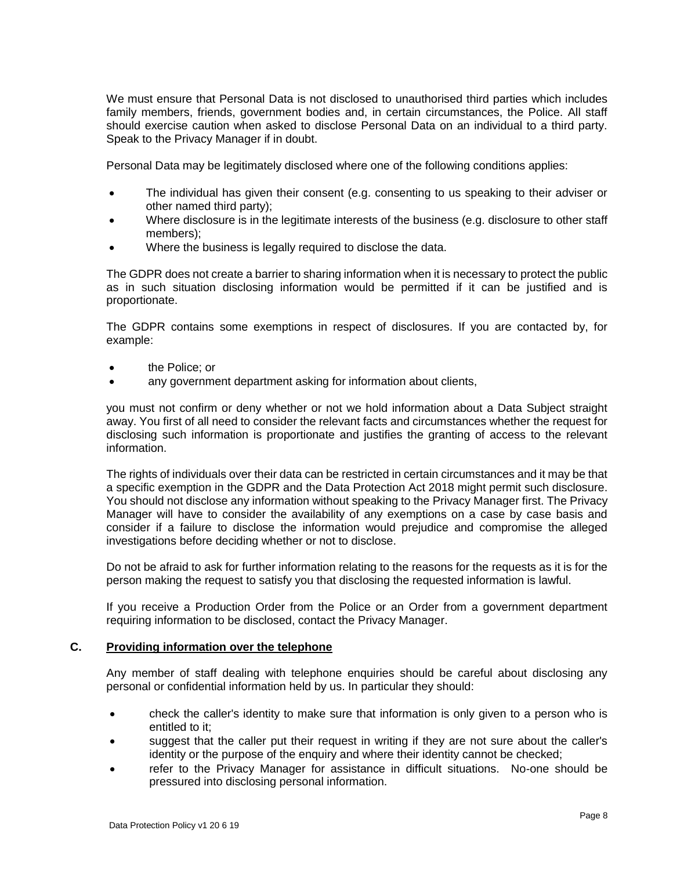We must ensure that Personal Data is not disclosed to unauthorised third parties which includes family members, friends, government bodies and, in certain circumstances, the Police. All staff should exercise caution when asked to disclose Personal Data on an individual to a third party. Speak to the Privacy Manager if in doubt.

Personal Data may be legitimately disclosed where one of the following conditions applies:

- The individual has given their consent (e.g. consenting to us speaking to their adviser or other named third party);
- Where disclosure is in the legitimate interests of the business (e.g. disclosure to other staff members);
- Where the business is legally required to disclose the data.

The GDPR does not create a barrier to sharing information when it is necessary to protect the public as in such situation disclosing information would be permitted if it can be justified and is proportionate.

The GDPR contains some exemptions in respect of disclosures. If you are contacted by, for example:

- the Police; or
- any government department asking for information about clients,

you must not confirm or deny whether or not we hold information about a Data Subject straight away. You first of all need to consider the relevant facts and circumstances whether the request for disclosing such information is proportionate and justifies the granting of access to the relevant information.

The rights of individuals over their data can be restricted in certain circumstances and it may be that a specific exemption in the GDPR and the Data Protection Act 2018 might permit such disclosure. You should not disclose any information without speaking to the Privacy Manager first. The Privacy Manager will have to consider the availability of any exemptions on a case by case basis and consider if a failure to disclose the information would prejudice and compromise the alleged investigations before deciding whether or not to disclose.

Do not be afraid to ask for further information relating to the reasons for the requests as it is for the person making the request to satisfy you that disclosing the requested information is lawful.

If you receive a Production Order from the Police or an Order from a government department requiring information to be disclosed, contact the Privacy Manager.

#### **C. Providing information over the telephone**

Any member of staff dealing with telephone enquiries should be careful about disclosing any personal or confidential information held by us. In particular they should:

- check the caller's identity to make sure that information is only given to a person who is entitled to it;
- suggest that the caller put their request in writing if they are not sure about the caller's identity or the purpose of the enquiry and where their identity cannot be checked;
- refer to the Privacy Manager for assistance in difficult situations. No-one should be pressured into disclosing personal information.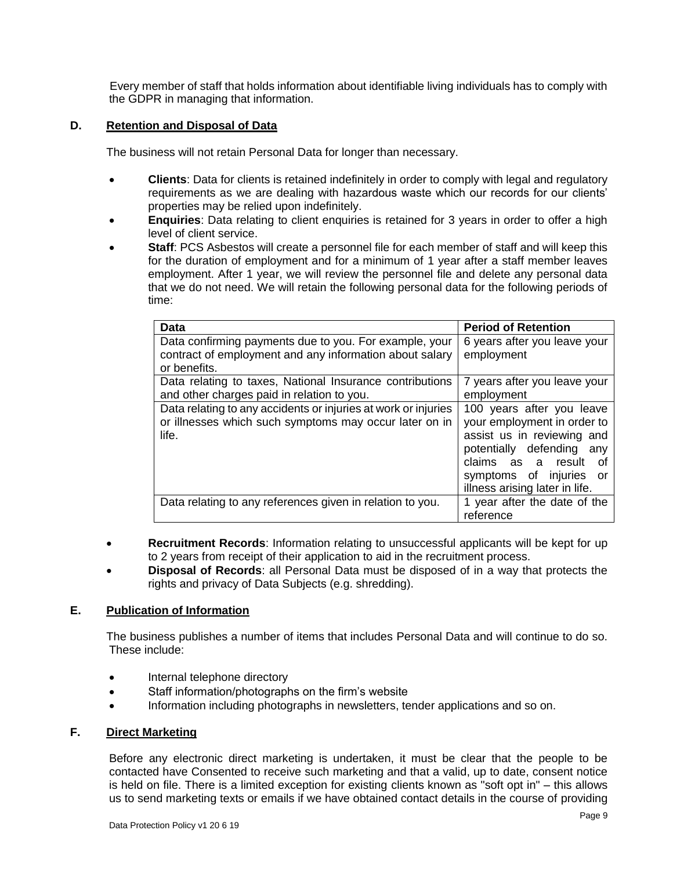Every member of staff that holds information about identifiable living individuals has to comply with the GDPR in managing that information.

## **D. Retention and Disposal of Data**

The business will not retain Personal Data for longer than necessary.

- **Clients**: Data for clients is retained indefinitely in order to comply with legal and regulatory requirements as we are dealing with hazardous waste which our records for our clients' properties may be relied upon indefinitely.
- **Enquiries**: Data relating to client enquiries is retained for 3 years in order to offer a high level of client service.
- **Staff**: PCS Asbestos will create a personnel file for each member of staff and will keep this for the duration of employment and for a minimum of 1 year after a staff member leaves employment. After 1 year, we will review the personnel file and delete any personal data that we do not need. We will retain the following personal data for the following periods of time:

| <b>Data</b>                                                                                                                       | <b>Period of Retention</b>                                                                                                                                                                                         |  |
|-----------------------------------------------------------------------------------------------------------------------------------|--------------------------------------------------------------------------------------------------------------------------------------------------------------------------------------------------------------------|--|
| Data confirming payments due to you. For example, your                                                                            | 6 years after you leave your                                                                                                                                                                                       |  |
| contract of employment and any information about salary                                                                           | employment                                                                                                                                                                                                         |  |
| or benefits.                                                                                                                      |                                                                                                                                                                                                                    |  |
| Data relating to taxes, National Insurance contributions                                                                          | 7 years after you leave your                                                                                                                                                                                       |  |
| and other charges paid in relation to you.                                                                                        | employment                                                                                                                                                                                                         |  |
| Data relating to any accidents or injuries at work or injuries<br>or illnesses which such symptoms may occur later on in<br>life. | 100 years after you leave<br>your employment in order to<br>assist us in reviewing and<br>potentially defending<br>any<br>claims as a result<br>Ωt<br>symptoms of injuries<br>or<br>illness arising later in life. |  |
| Data relating to any references given in relation to you.                                                                         | 1 year after the date of the<br>reference                                                                                                                                                                          |  |

- **Recruitment Records**: Information relating to unsuccessful applicants will be kept for up to 2 years from receipt of their application to aid in the recruitment process.
- **Disposal of Records**: all Personal Data must be disposed of in a way that protects the rights and privacy of Data Subjects (e.g. shredding).

## **E. Publication of Information**

The business publishes a number of items that includes Personal Data and will continue to do so. These include:

- Internal telephone directory
- Staff information/photographs on the firm's website
- Information including photographs in newsletters, tender applications and so on.

## **F. Direct Marketing**

Before any electronic direct marketing is undertaken, it must be clear that the people to be contacted have Consented to receive such marketing and that a valid, up to date, consent notice is held on file. There is a limited exception for existing clients known as "soft opt in" – this allows us to send marketing texts or emails if we have obtained contact details in the course of providing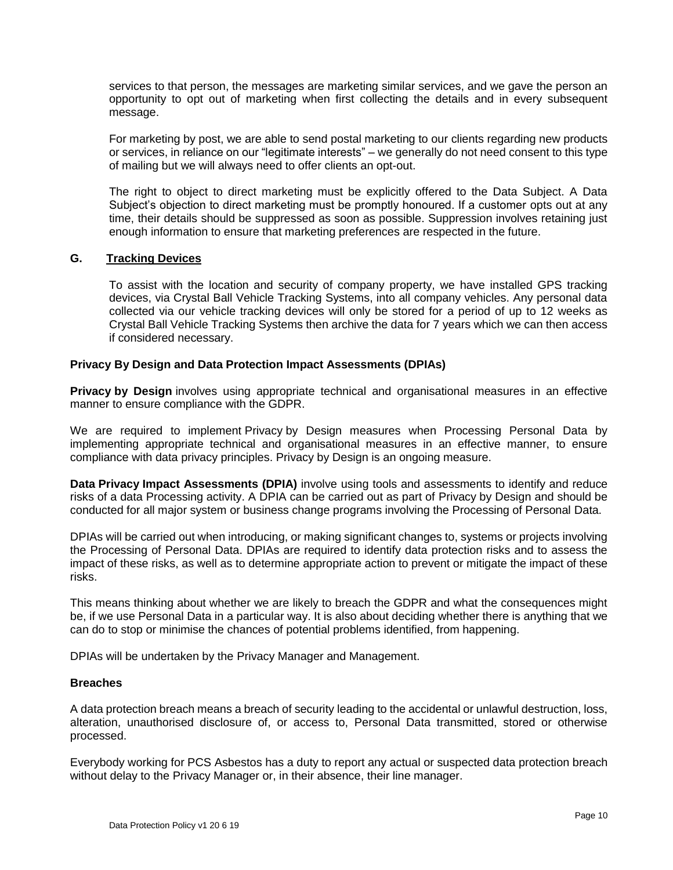services to that person, the messages are marketing similar services, and we gave the person an opportunity to opt out of marketing when first collecting the details and in every subsequent message.

For marketing by post, we are able to send postal marketing to our clients regarding new products or services, in reliance on our "legitimate interests" – we generally do not need consent to this type of mailing but we will always need to offer clients an opt-out.

The right to object to direct marketing must be explicitly offered to the Data Subject. A Data Subject's objection to direct marketing must be promptly honoured. If a customer opts out at any time, their details should be suppressed as soon as possible. Suppression involves retaining just enough information to ensure that marketing preferences are respected in the future.

#### **G. Tracking Devices**

To assist with the location and security of company property, we have installed GPS tracking devices, via Crystal Ball Vehicle Tracking Systems, into all company vehicles. Any personal data collected via our vehicle tracking devices will only be stored for a period of up to 12 weeks as Crystal Ball Vehicle Tracking Systems then archive the data for 7 years which we can then access if considered necessary.

#### **Privacy By Design and Data Protection Impact Assessments (DPIAs)**

**Privacy by Design** involves using appropriate technical and organisational measures in an effective manner to ensure compliance with the GDPR.

We are required to implement Privacy by Design measures when Processing Personal Data by implementing appropriate technical and organisational measures in an effective manner, to ensure compliance with data privacy principles. Privacy by Design is an ongoing measure.

**Data Privacy Impact Assessments (DPIA)** involve using tools and assessments to identify and reduce risks of a data Processing activity. A DPIA can be carried out as part of Privacy by Design and should be conducted for all major system or business change programs involving the Processing of Personal Data.

DPIAs will be carried out when introducing, or making significant changes to, systems or projects involving the Processing of Personal Data. DPIAs are required to identify data protection risks and to assess the impact of these risks, as well as to determine appropriate action to prevent or mitigate the impact of these risks.

This means thinking about whether we are likely to breach the GDPR and what the consequences might be, if we use Personal Data in a particular way. It is also about deciding whether there is anything that we can do to stop or minimise the chances of potential problems identified, from happening.

DPIAs will be undertaken by the Privacy Manager and Management.

#### **Breaches**

A data protection breach means a breach of security leading to the accidental or unlawful destruction, loss, alteration, unauthorised disclosure of, or access to, Personal Data transmitted, stored or otherwise processed.

Everybody working for PCS Asbestos has a duty to report any actual or suspected data protection breach without delay to the Privacy Manager or, in their absence, their line manager.